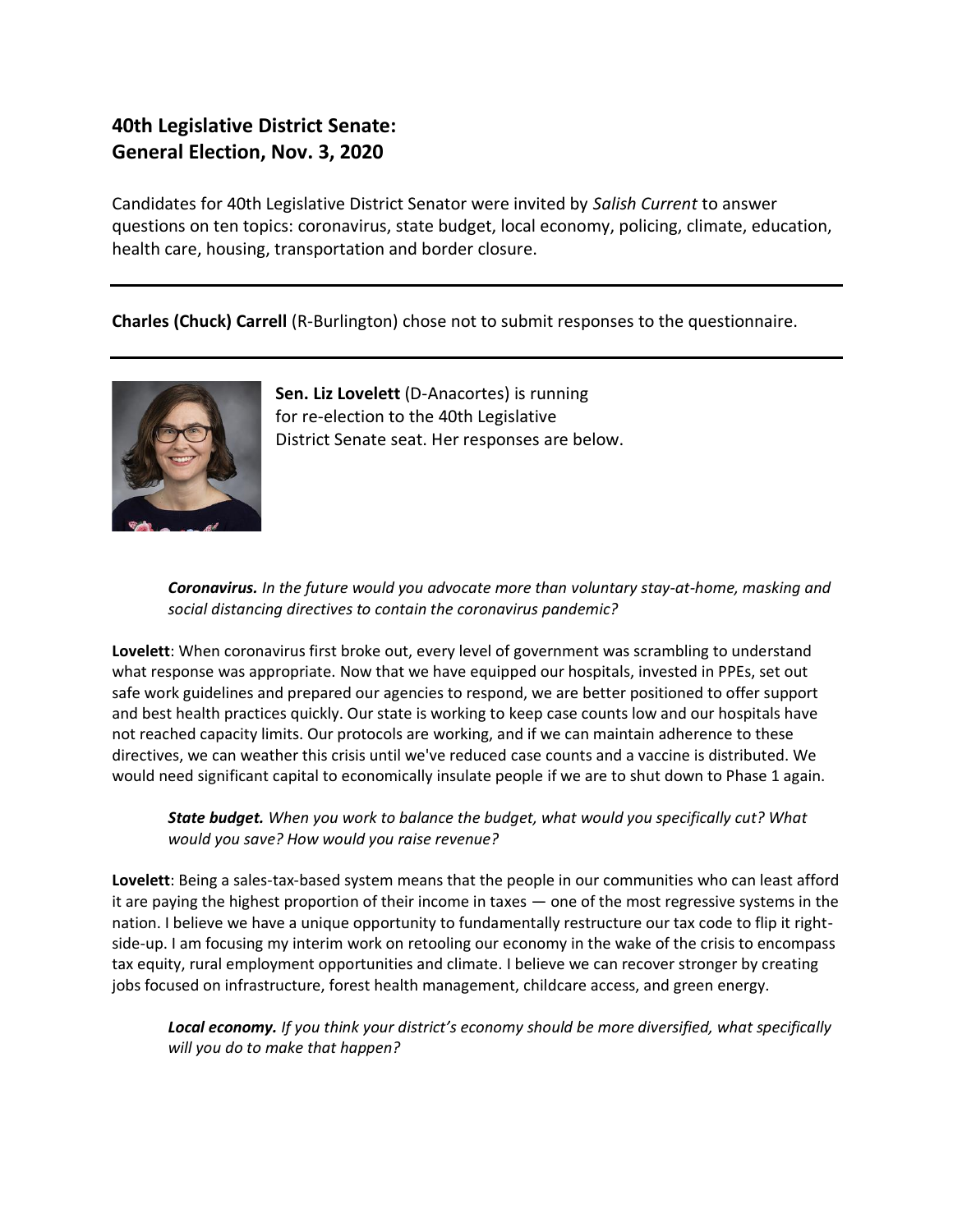# **40th Legislative District Senate: General Election, Nov. 3, 2020**

Candidates for 40th Legislative District Senator were invited by *Salish Current* to answer questions on ten topics: coronavirus, state budget, local economy, policing, climate, education, health care, housing, transportation and border closure.

**Charles (Chuck) Carrell** (R-Burlington) chose not to submit responses to the questionnaire.



**Sen. Liz Lovelett** (D-Anacortes) is running for re-election to the 40th Legislative District Senate seat. Her responses are below.

*Coronavirus. In the future would you advocate more than voluntary stay-at-home, masking and social distancing directives to contain the coronavirus pandemic?*

**Lovelett**: When coronavirus first broke out, every level of government was scrambling to understand what response was appropriate. Now that we have equipped our hospitals, invested in PPEs, set out safe work guidelines and prepared our agencies to respond, we are better positioned to offer support and best health practices quickly. Our state is working to keep case counts low and our hospitals have not reached capacity limits. Our protocols are working, and if we can maintain adherence to these directives, we can weather this crisis until we've reduced case counts and a vaccine is distributed. We would need significant capital to economically insulate people if we are to shut down to Phase 1 again.

*State budget. When you work to balance the budget, what would you specifically cut? What would you save? How would you raise revenue?*

**Lovelett**: Being a sales-tax-based system means that the people in our communities who can least afford it are paying the highest proportion of their income in taxes — one of the most regressive systems in the nation. I believe we have a unique opportunity to fundamentally restructure our tax code to flip it rightside-up. I am focusing my interim work on retooling our economy in the wake of the crisis to encompass tax equity, rural employment opportunities and climate. I believe we can recover stronger by creating jobs focused on infrastructure, forest health management, childcare access, and green energy.

*Local economy. If you think your district's economy should be more diversified, what specifically will you do to make that happen?*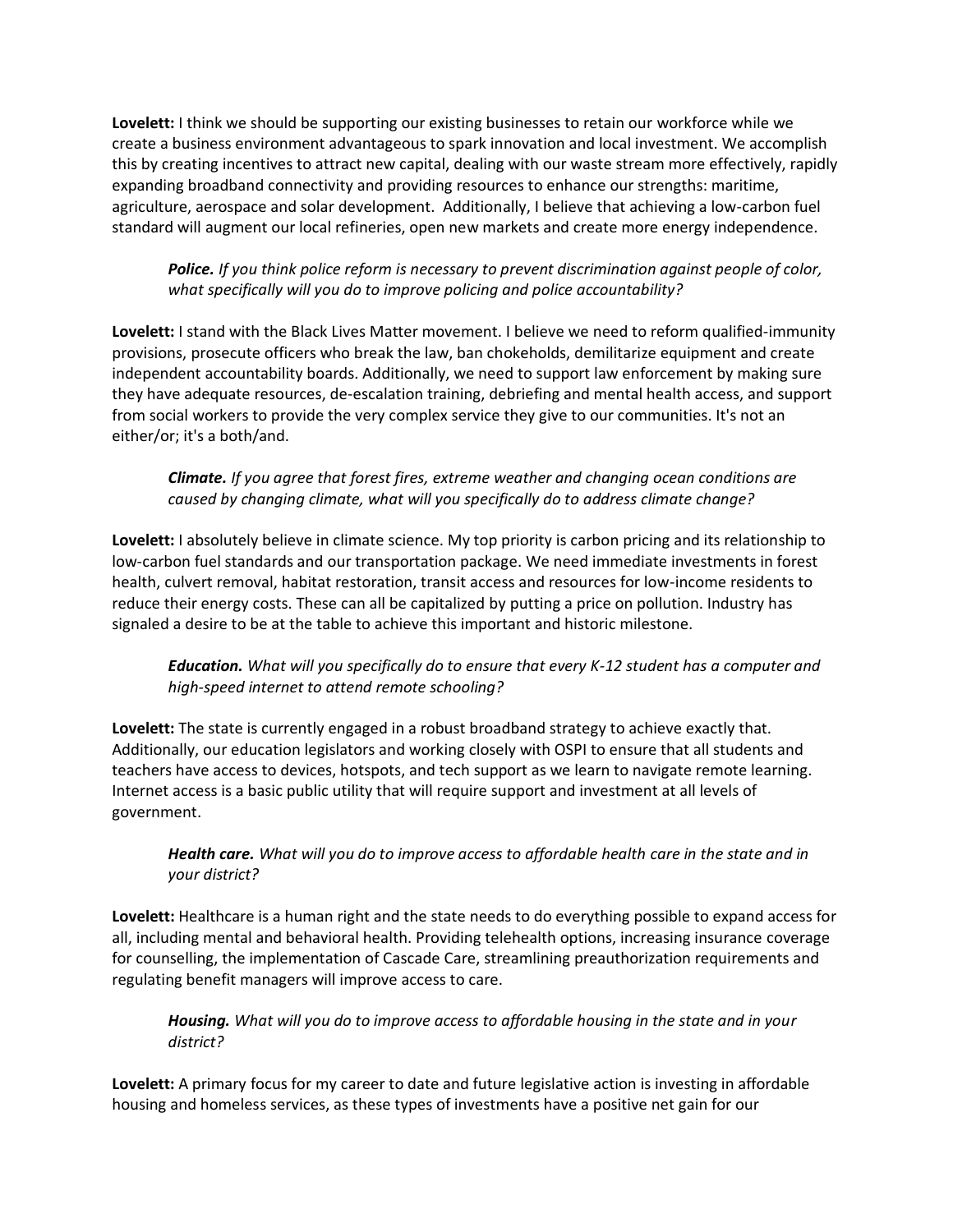**Lovelett:** I think we should be supporting our existing businesses to retain our workforce while we create a business environment advantageous to spark innovation and local investment. We accomplish this by creating incentives to attract new capital, dealing with our waste stream more effectively, rapidly expanding broadband connectivity and providing resources to enhance our strengths: maritime, agriculture, aerospace and solar development. Additionally, I believe that achieving a low-carbon fuel standard will augment our local refineries, open new markets and create more energy independence.

## *Police. If you think police reform is necessary to prevent discrimination against people of color, what specifically will you do to improve policing and police accountability?*

**Lovelett:** I stand with the Black Lives Matter movement. I believe we need to reform qualified-immunity provisions, prosecute officers who break the law, ban chokeholds, demilitarize equipment and create independent accountability boards. Additionally, we need to support law enforcement by making sure they have adequate resources, de-escalation training, debriefing and mental health access, and support from social workers to provide the very complex service they give to our communities. It's not an either/or; it's a both/and.

## *Climate. If you agree that forest fires, extreme weather and changing ocean conditions are caused by changing climate, what will you specifically do to address climate change?*

**Lovelett:** I absolutely believe in climate science. My top priority is carbon pricing and its relationship to low-carbon fuel standards and our transportation package. We need immediate investments in forest health, culvert removal, habitat restoration, transit access and resources for low-income residents to reduce their energy costs. These can all be capitalized by putting a price on pollution. Industry has signaled a desire to be at the table to achieve this important and historic milestone.

# *Education. What will you specifically do to ensure that every K-12 student has a computer and high-speed internet to attend remote schooling?*

**Lovelett:** The state is currently engaged in a robust broadband strategy to achieve exactly that. Additionally, our education legislators and working closely with OSPI to ensure that all students and teachers have access to devices, hotspots, and tech support as we learn to navigate remote learning. Internet access is a basic public utility that will require support and investment at all levels of government.

# *Health care. What will you do to improve access to affordable health care in the state and in your district?*

**Lovelett:** Healthcare is a human right and the state needs to do everything possible to expand access for all, including mental and behavioral health. Providing telehealth options, increasing insurance coverage for counselling, the implementation of Cascade Care, streamlining preauthorization requirements and regulating benefit managers will improve access to care.

#### *Housing. What will you do to improve access to affordable housing in the state and in your district?*

**Lovelett:** A primary focus for my career to date and future legislative action is investing in affordable housing and homeless services, as these types of investments have a positive net gain for our